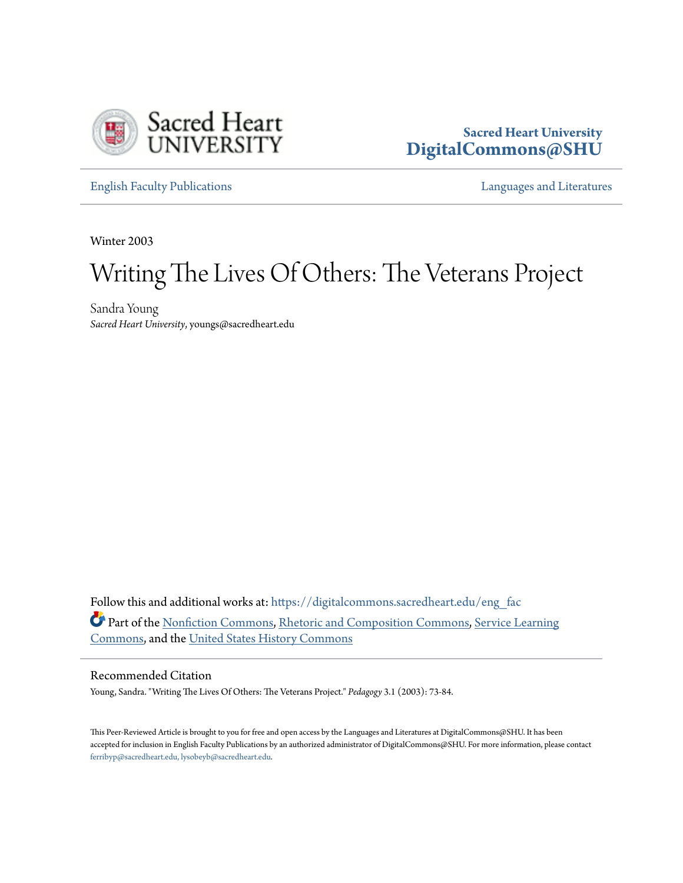

### **Sacred Heart University [DigitalCommons@SHU](https://digitalcommons.sacredheart.edu?utm_source=digitalcommons.sacredheart.edu%2Feng_fac%2F49&utm_medium=PDF&utm_campaign=PDFCoverPages)**

[English Faculty Publications](https://digitalcommons.sacredheart.edu/eng_fac?utm_source=digitalcommons.sacredheart.edu%2Feng_fac%2F49&utm_medium=PDF&utm_campaign=PDFCoverPages) **English Faculty Publications [Languages and Literatures](https://digitalcommons.sacredheart.edu/lang_lit?utm_source=digitalcommons.sacredheart.edu%2Feng_fac%2F49&utm_medium=PDF&utm_campaign=PDFCoverPages)** 

Winter 2003

# Writing The Lives Of Others: The Veterans Project

Sandra Young *Sacred Heart University*, youngs@sacredheart.edu

Follow this and additional works at: [https://digitalcommons.sacredheart.edu/eng\\_fac](https://digitalcommons.sacredheart.edu/eng_fac?utm_source=digitalcommons.sacredheart.edu%2Feng_fac%2F49&utm_medium=PDF&utm_campaign=PDFCoverPages) Part of the [Nonfiction Commons](http://network.bepress.com/hgg/discipline/1152?utm_source=digitalcommons.sacredheart.edu%2Feng_fac%2F49&utm_medium=PDF&utm_campaign=PDFCoverPages), [Rhetoric and Composition Commons,](http://network.bepress.com/hgg/discipline/573?utm_source=digitalcommons.sacredheart.edu%2Feng_fac%2F49&utm_medium=PDF&utm_campaign=PDFCoverPages) [Service Learning](http://network.bepress.com/hgg/discipline/1024?utm_source=digitalcommons.sacredheart.edu%2Feng_fac%2F49&utm_medium=PDF&utm_campaign=PDFCoverPages) [Commons,](http://network.bepress.com/hgg/discipline/1024?utm_source=digitalcommons.sacredheart.edu%2Feng_fac%2F49&utm_medium=PDF&utm_campaign=PDFCoverPages) and the [United States History Commons](http://network.bepress.com/hgg/discipline/495?utm_source=digitalcommons.sacredheart.edu%2Feng_fac%2F49&utm_medium=PDF&utm_campaign=PDFCoverPages)

#### Recommended Citation

Young, Sandra. "Writing The Lives Of Others: The Veterans Project." *Pedagogy* 3.1 (2003): 73-84.

This Peer-Reviewed Article is brought to you for free and open access by the Languages and Literatures at DigitalCommons@SHU. It has been accepted for inclusion in English Faculty Publications by an authorized administrator of DigitalCommons@SHU. For more information, please contact [ferribyp@sacredheart.edu, lysobeyb@sacredheart.edu.](mailto:ferribyp@sacredheart.edu,%20lysobeyb@sacredheart.edu)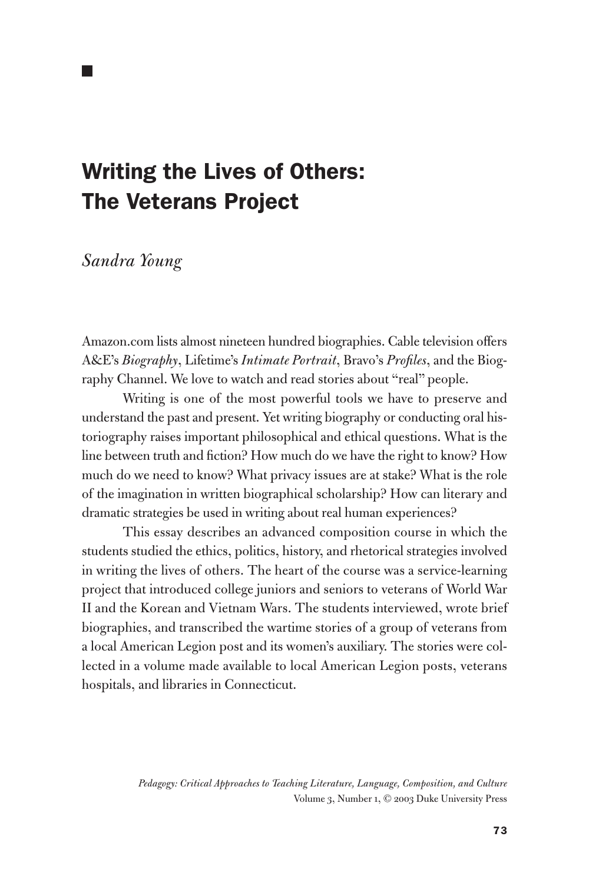## Writing the Lives of Others: The Veterans Project

*Sandra Young*

Amazon.com lists almost nineteen hundred biographies. Cable television offers A&E's *Biography*, Lifetime's *Intimate Portrait*, Bravo's *Profiles*, and the Biography Channel. We love to watch and read stories about "real" people.

Writing is one of the most powerful tools we have to preserve and understand the past and present. Yet writing biography or conducting oral historiography raises important philosophical and ethical questions. What is the line between truth and fiction? How much do we have the right to know? How much do we need to know? What privacy issues are at stake? What is the role of the imagination in written biographical scholarship? How can literary and dramatic strategies be used in writing about real human experiences?

This essay describes an advanced composition course in which the students studied the ethics, politics, history, and rhetorical strategies involved in writing the lives of others. The heart of the course was a service-learning project that introduced college juniors and seniors to veterans of World War II and the Korean and Vietnam Wars. The students interviewed, wrote brief biographies, and transcribed the wartime stories of a group of veterans from a local American Legion post and its women's auxiliary. The stories were collected in a volume made available to local American Legion posts, veterans hospitals, and libraries in Connecticut.

> *Pedagogy: Critical Approaches to Teaching Literature, Language, Composition, and Culture* Volume 3, Number 1, © 2003 Duke University Press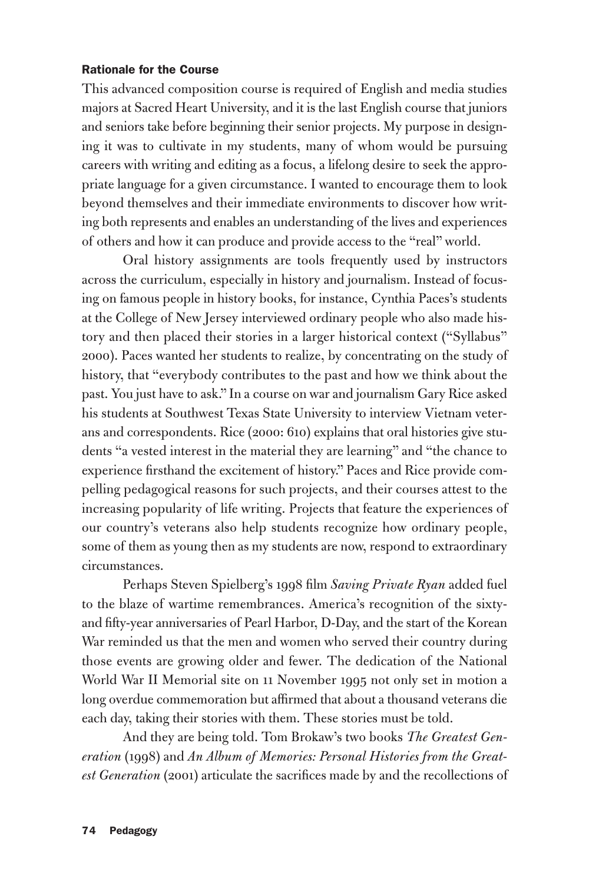#### Rationale for the Course

This advanced composition course is required of English and media studies majors at Sacred Heart University, and it is the last English course that juniors and seniors take before beginning their senior projects. My purpose in designing it was to cultivate in my students, many of whom would be pursuing careers with writing and editing as a focus, a lifelong desire to seek the appropriate language for a given circumstance. I wanted to encourage them to look beyond themselves and their immediate environments to discover how writing both represents and enables an understanding of the lives and experiences of others and how it can produce and provide access to the "real" world.

Oral history assignments are tools frequently used by instructors across the curriculum, especially in history and journalism. Instead of focusing on famous people in history books, for instance, Cynthia Paces's students at the College of New Jersey interviewed ordinary people who also made history and then placed their stories in a larger historical context ("Syllabus" 2000). Paces wanted her students to realize, by concentrating on the study of history, that "everybody contributes to the past and how we think about the past. You just have to ask." In a course on war and journalism Gary Rice asked his students at Southwest Texas State University to interview Vietnam veterans and correspondents. Rice (2000: 610) explains that oral histories give students "a vested interest in the material they are learning" and "the chance to experience firsthand the excitement of history." Paces and Rice provide compelling pedagogical reasons for such projects, and their courses attest to the increasing popularity of life writing. Projects that feature the experiences of our country's veterans also help students recognize how ordinary people, some of them as young then as my students are now, respond to extraordinary circumstances.

Perhaps Steven Spielberg's 1998 film *Saving Private Ryan* added fuel to the blaze of wartime remembrances. America's recognition of the sixtyand fifty-year anniversaries of Pearl Harbor, D-Day, and the start of the Korean War reminded us that the men and women who served their country during those events are growing older and fewer. The dedication of the National World War II Memorial site on 11 November 1995 not only set in motion a long overdue commemoration but affirmed that about a thousand veterans die each day, taking their stories with them. These stories must be told.

And they are being told. Tom Brokaw's two books *The Greatest Generation* (1998) and *An Album of Memories: Personal Histories from the Greatest Generation* (2001) articulate the sacrifices made by and the recollections of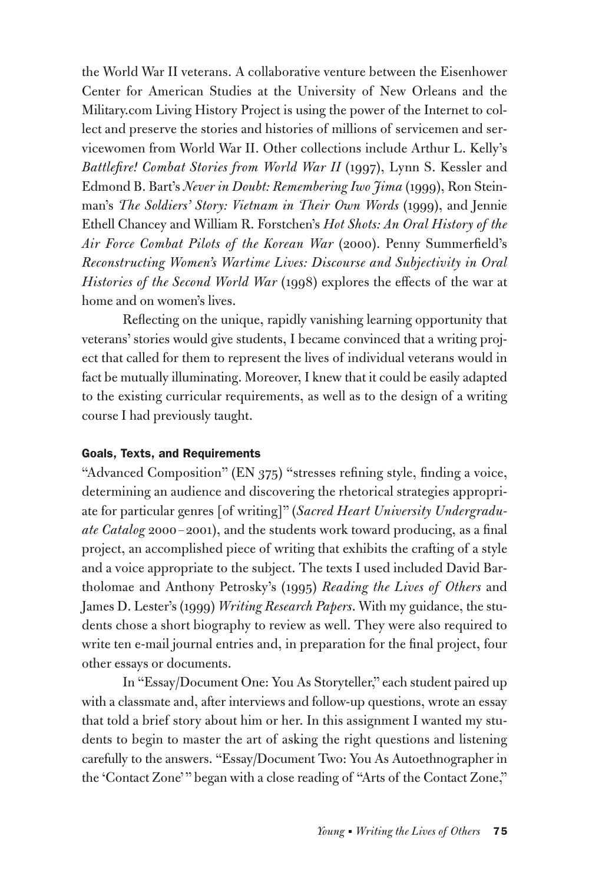the World War II veterans. A collaborative venture between the Eisenhower Center for American Studies at the University of New Orleans and the Military.com Living History Project is using the power of the Internet to collect and preserve the stories and histories of millions of servicemen and servicewomen from World War II. Other collections include Arthur L. Kelly's *Battlefire! Combat Stories from World War II* (1997), Lynn S. Kessler and Edmond B. Bart's *Never in Doubt: Remembering Iwo Jima* (1999), Ron Steinman's *The Soldiers' Story: Vietnam in Their Own Words* (1999), and Jennie Ethell Chancey and William R. Forstchen's *Hot Shots: An Oral History of the Air Force Combat Pilots of the Korean War* (2000). Penny Summerfield's *Reconstructing Women's Wartime Lives: Discourse and Subjectivity in Oral Histories of the Second World War* (1998) explores the effects of the war at home and on women's lives.

Reflecting on the unique, rapidly vanishing learning opportunity that veterans' stories would give students, I became convinced that a writing project that called for them to represent the lives of individual veterans would in fact be mutually illuminating. Moreover, I knew that it could be easily adapted to the existing curricular requirements, as well as to the design of a writing course I had previously taught.

#### Goals, Texts, and Requirements

"Advanced Composition" (EN 375) "stresses refining style, finding a voice, determining an audience and discovering the rhetorical strategies appropriate for particular genres [of writing]" (*Sacred Heart University Undergraduate Catalog* 2000 – 2001), and the students work toward producing, as a final project, an accomplished piece of writing that exhibits the crafting of a style and a voice appropriate to the subject. The texts I used included David Bartholomae and Anthony Petrosky's (1995) *Reading the Lives of Others* and James D. Lester's (1999) *Writing Research Papers*. With my guidance, the students chose a short biography to review as well. They were also required to write ten e-mail journal entries and, in preparation for the final project, four other essays or documents.

In "Essay/Document One: You As Storyteller," each student paired up with a classmate and, after interviews and follow-up questions, wrote an essay that told a brief story about him or her. In this assignment I wanted my students to begin to master the art of asking the right questions and listening carefully to the answers. "Essay/Document Two: You As Autoethnographer in the 'Contact Zone'" began with a close reading of "Arts of the Contact Zone,"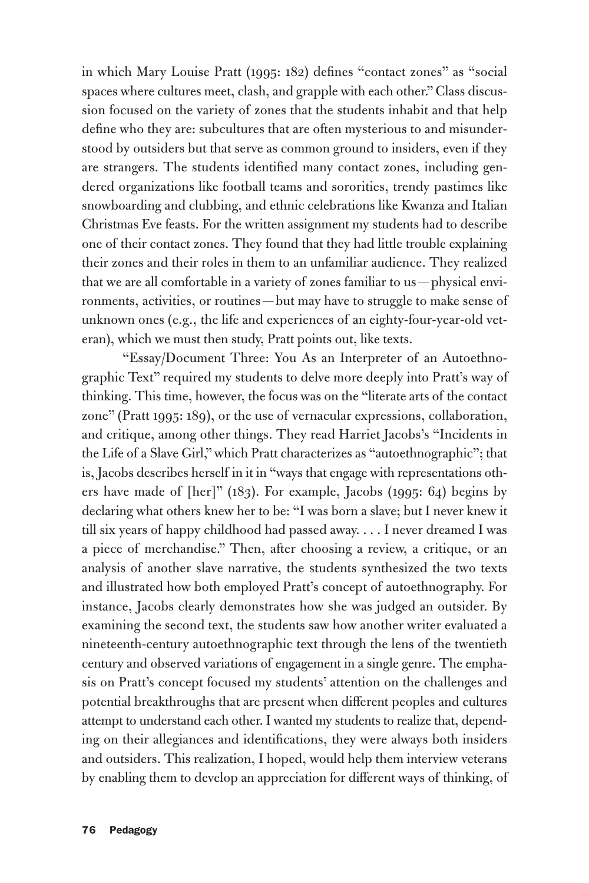in which Mary Louise Pratt (1995: 182) defines "contact zones" as "social spaces where cultures meet, clash, and grapple with each other." Class discussion focused on the variety of zones that the students inhabit and that help define who they are: subcultures that are often mysterious to and misunderstood by outsiders but that serve as common ground to insiders, even if they are strangers. The students identified many contact zones, including gendered organizations like football teams and sororities, trendy pastimes like snowboarding and clubbing, and ethnic celebrations like Kwanza and Italian Christmas Eve feasts. For the written assignment my students had to describe one of their contact zones. They found that they had little trouble explaining their zones and their roles in them to an unfamiliar audience. They realized that we are all comfortable in a variety of zones familiar to us—physical environments, activities, or routines — but may have to struggle to make sense of unknown ones (e.g., the life and experiences of an eighty-four-year-old veteran), which we must then study, Pratt points out, like texts.

"Essay/Document Three: You As an Interpreter of an Autoethnographic Text" required my students to delve more deeply into Pratt's way of thinking. This time, however, the focus was on the "literate arts of the contact zone" (Pratt 1995: 189), or the use of vernacular expressions, collaboration, and critique, among other things. They read Harriet Jacobs's "Incidents in the Life of a Slave Girl," which Pratt characterizes as "autoethnographic"; that is, Jacobs describes herself in it in "ways that engage with representations others have made of [her]" (183). For example, Jacobs (1995: 64) begins by declaring what others knew her to be: "I was born a slave; but I never knew it till six years of happy childhood had passed away. . . . I never dreamed I was a piece of merchandise." Then, after choosing a review, a critique, or an analysis of another slave narrative, the students synthesized the two texts and illustrated how both employed Pratt's concept of autoethnography. For instance, Jacobs clearly demonstrates how she was judged an outsider. By examining the second text, the students saw how another writer evaluated a nineteenth-century autoethnographic text through the lens of the twentieth century and observed variations of engagement in a single genre. The emphasis on Pratt's concept focused my students' attention on the challenges and potential breakthroughs that are present when different peoples and cultures attempt to understand each other. I wanted my students to realize that, depending on their allegiances and identifications, they were always both insiders and outsiders. This realization, I hoped, would help them interview veterans by enabling them to develop an appreciation for different ways of thinking, of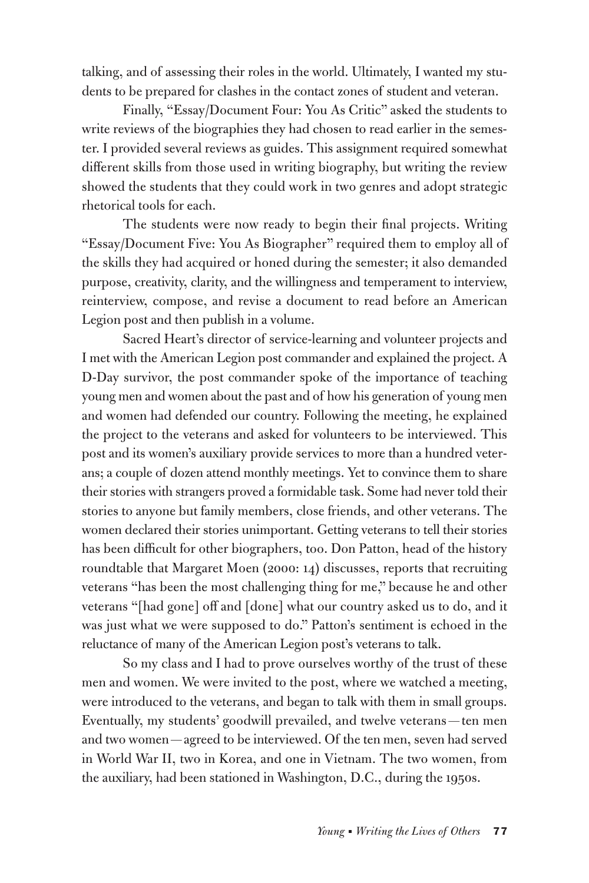talking, and of assessing their roles in the world. Ultimately, I wanted my students to be prepared for clashes in the contact zones of student and veteran.

Finally, "Essay/Document Four: You As Critic" asked the students to write reviews of the biographies they had chosen to read earlier in the semester. I provided several reviews as guides. This assignment required somewhat different skills from those used in writing biography, but writing the review showed the students that they could work in two genres and adopt strategic rhetorical tools for each.

The students were now ready to begin their final projects. Writing "Essay/Document Five: You As Biographer" required them to employ all of the skills they had acquired or honed during the semester; it also demanded purpose, creativity, clarity, and the willingness and temperament to interview, reinterview, compose, and revise a document to read before an American Legion post and then publish in a volume.

Sacred Heart's director of service-learning and volunteer projects and I met with the American Legion post commander and explained the project. A D-Day survivor, the post commander spoke of the importance of teaching young men and women about the past and of how his generation of young men and women had defended our country. Following the meeting, he explained the project to the veterans and asked for volunteers to be interviewed. This post and its women's auxiliary provide services to more than a hundred veterans; a couple of dozen attend monthly meetings. Yet to convince them to share their stories with strangers proved a formidable task. Some had never told their stories to anyone but family members, close friends, and other veterans. The women declared their stories unimportant. Getting veterans to tell their stories has been difficult for other biographers, too. Don Patton, head of the history roundtable that Margaret Moen (2000: 14) discusses, reports that recruiting veterans "has been the most challenging thing for me," because he and other veterans "[had gone] off and [done] what our country asked us to do, and it was just what we were supposed to do." Patton's sentiment is echoed in the reluctance of many of the American Legion post's veterans to talk.

So my class and I had to prove ourselves worthy of the trust of these men and women. We were invited to the post, where we watched a meeting, were introduced to the veterans, and began to talk with them in small groups. Eventually, my students' goodwill prevailed, and twelve veterans — ten men and two women—agreed to be interviewed. Of the ten men, seven had served in World War II, two in Korea, and one in Vietnam. The two women, from the auxiliary, had been stationed in Washington, D.C., during the 1950s.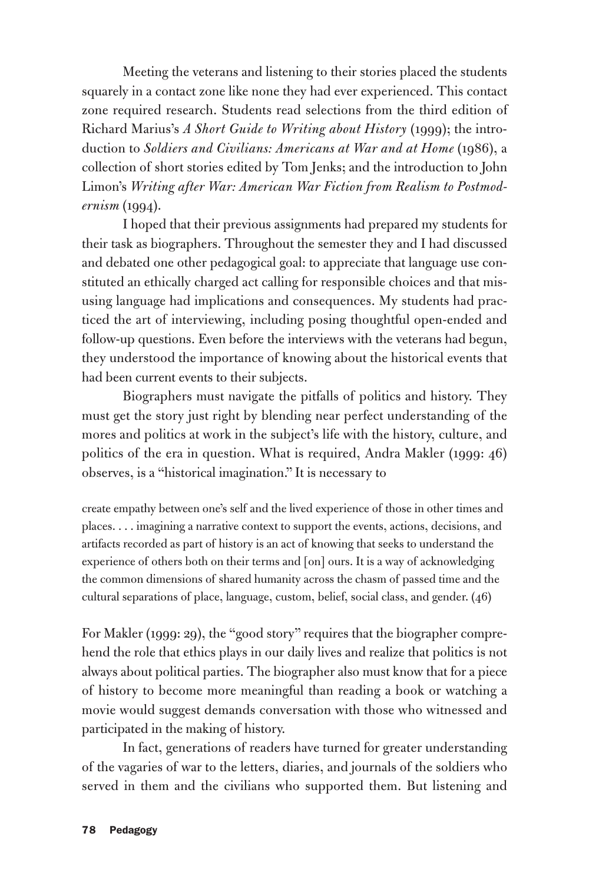Meeting the veterans and listening to their stories placed the students squarely in a contact zone like none they had ever experienced. This contact zone required research. Students read selections from the third edition of Richard Marius's *A Short Guide to Writing about History* (1999); the introduction to *Soldiers and Civilians: Americans at War and at Home* (1986), a collection of short stories edited by Tom Jenks; and the introduction to John Limon's *Writing after War: American War Fiction from Realism to Postmodernism* (1994).

I hoped that their previous assignments had prepared my students for their task as biographers. Throughout the semester they and I had discussed and debated one other pedagogical goal: to appreciate that language use constituted an ethically charged act calling for responsible choices and that misusing language had implications and consequences. My students had practiced the art of interviewing, including posing thoughtful open-ended and follow-up questions. Even before the interviews with the veterans had begun, they understood the importance of knowing about the historical events that had been current events to their subjects.

Biographers must navigate the pitfalls of politics and history. They must get the story just right by blending near perfect understanding of the mores and politics at work in the subject's life with the history, culture, and politics of the era in question. What is required, Andra Makler (1999: 46) observes, is a "historical imagination." It is necessary to

create empathy between one's self and the lived experience of those in other times and places. . . . imagining a narrative context to support the events, actions, decisions, and artifacts recorded as part of history is an act of knowing that seeks to understand the experience of others both on their terms and [on] ours. It is a way of acknowledging the common dimensions of shared humanity across the chasm of passed time and the cultural separations of place, language, custom, belief, social class, and gender. (46)

For Makler (1999: 29), the "good story" requires that the biographer comprehend the role that ethics plays in our daily lives and realize that politics is not always about political parties. The biographer also must know that for a piece of history to become more meaningful than reading a book or watching a movie would suggest demands conversation with those who witnessed and participated in the making of history.

In fact, generations of readers have turned for greater understanding of the vagaries of war to the letters, diaries, and journals of the soldiers who served in them and the civilians who supported them. But listening and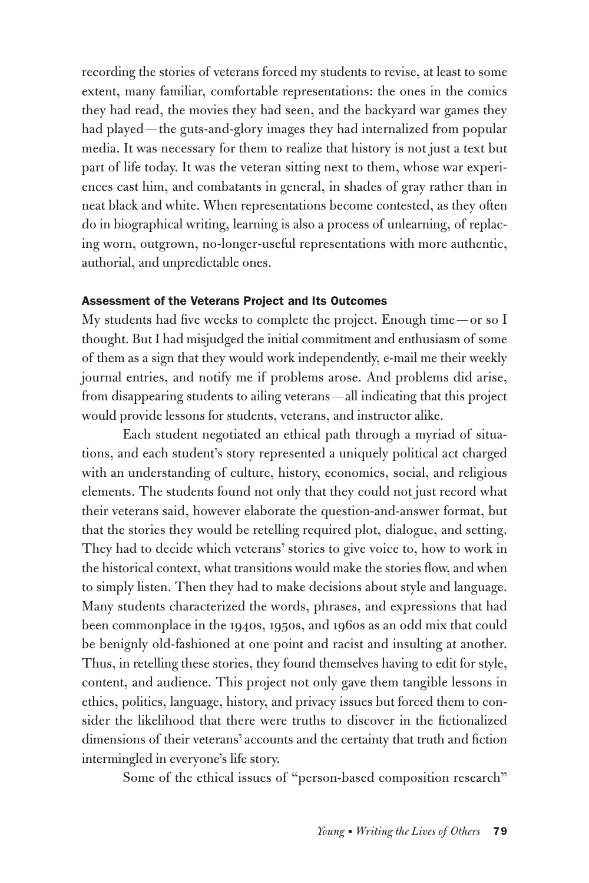recording the stories of veterans forced my students to revise, at least to some extent, many familiar, comfortable representations: the ones in the comics they had read, the movies they had seen, and the backyard war games they had played — the guts-and-glory images they had internalized from popular media. It was necessary for them to realize that history is not just a text but part of life today. It was the veteran sitting next to them, whose war experiences cast him, and combatants in general, in shades of gray rather than in neat black and white. When representations become contested, as they often do in biographical writing, learning is also a process of unlearning, of replacing worn, outgrown, no-longer-useful representations with more authentic, authorial, and unpredictable ones.

#### Assessment of the Veterans Project and Its Outcomes

My students had five weeks to complete the project. Enough time — or so I thought. But I had misjudged the initial commitment and enthusiasm of some of them as a sign that they would work independently, e-mail me their weekly journal entries, and notify me if problems arose. And problems did arise, from disappearing students to ailing veterans—all indicating that this project would provide lessons for students, veterans, and instructor alike.

Each student negotiated an ethical path through a myriad of situations, and each student's story represented a uniquely political act charged with an understanding of culture, history, economics, social, and religious elements. The students found not only that they could not just record what their veterans said, however elaborate the question-and-answer format, but that the stories they would be retelling required plot, dialogue, and setting. They had to decide which veterans' stories to give voice to, how to work in the historical context, what transitions would make the stories flow, and when to simply listen. Then they had to make decisions about style and language. Many students characterized the words, phrases, and expressions that had been commonplace in the 1940s, 1950s, and 1960s as an odd mix that could be benignly old-fashioned at one point and racist and insulting at another. Thus, in retelling these stories, they found themselves having to edit for style, content, and audience. This project not only gave them tangible lessons in ethics, politics, language, history, and privacy issues but forced them to consider the likelihood that there were truths to discover in the fictionalized dimensions of their veterans' accounts and the certainty that truth and fiction intermingled in everyone's life story.

Some of the ethical issues of "person-based composition research"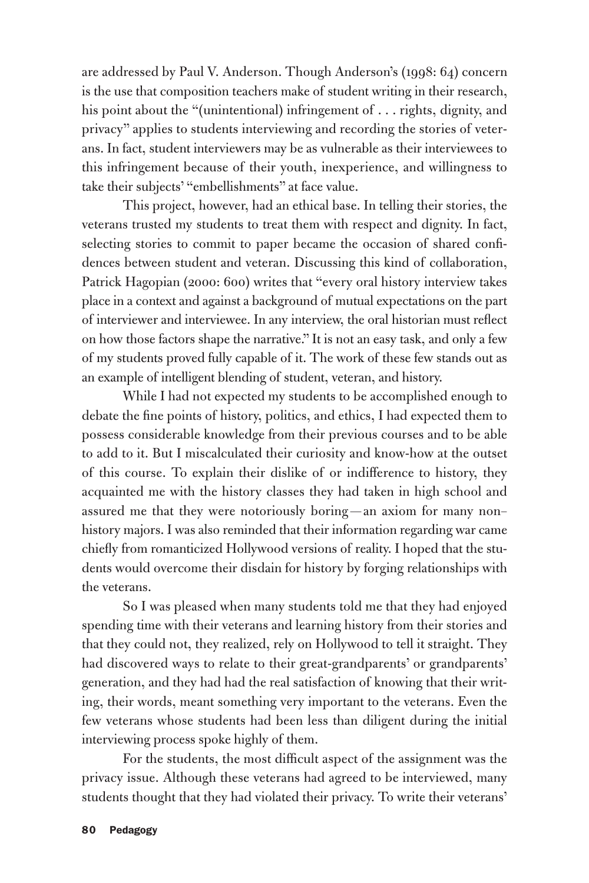are addressed by Paul V. Anderson. Though Anderson's (1998: 64) concern is the use that composition teachers make of student writing in their research, his point about the "(unintentional) infringement of . . . rights, dignity, and privacy" applies to students interviewing and recording the stories of veterans. In fact, student interviewers may be as vulnerable as their interviewees to this infringement because of their youth, inexperience, and willingness to take their subjects' "embellishments" at face value.

This project, however, had an ethical base. In telling their stories, the veterans trusted my students to treat them with respect and dignity. In fact, selecting stories to commit to paper became the occasion of shared confidences between student and veteran. Discussing this kind of collaboration, Patrick Hagopian (2000: 600) writes that "every oral history interview takes place in a context and against a background of mutual expectations on the part of interviewer and interviewee. In any interview, the oral historian must reflect on how those factors shape the narrative." It is not an easy task, and only a few of my students proved fully capable of it. The work of these few stands out as an example of intelligent blending of student, veteran, and history.

While I had not expected my students to be accomplished enough to debate the fine points of history, politics, and ethics, I had expected them to possess considerable knowledge from their previous courses and to be able to add to it. But I miscalculated their curiosity and know-how at the outset of this course. To explain their dislike of or indifference to history, they acquainted me with the history classes they had taken in high school and assured me that they were notoriously boring — an axiom for many non– history majors. I was also reminded that their information regarding war came chiefly from romanticized Hollywood versions of reality. I hoped that the students would overcome their disdain for history by forging relationships with the veterans.

So I was pleased when many students told me that they had enjoyed spending time with their veterans and learning history from their stories and that they could not, they realized, rely on Hollywood to tell it straight. They had discovered ways to relate to their great-grandparents' or grandparents' generation, and they had had the real satisfaction of knowing that their writing, their words, meant something very important to the veterans. Even the few veterans whose students had been less than diligent during the initial interviewing process spoke highly of them.

For the students, the most difficult aspect of the assignment was the privacy issue. Although these veterans had agreed to be interviewed, many students thought that they had violated their privacy. To write their veterans'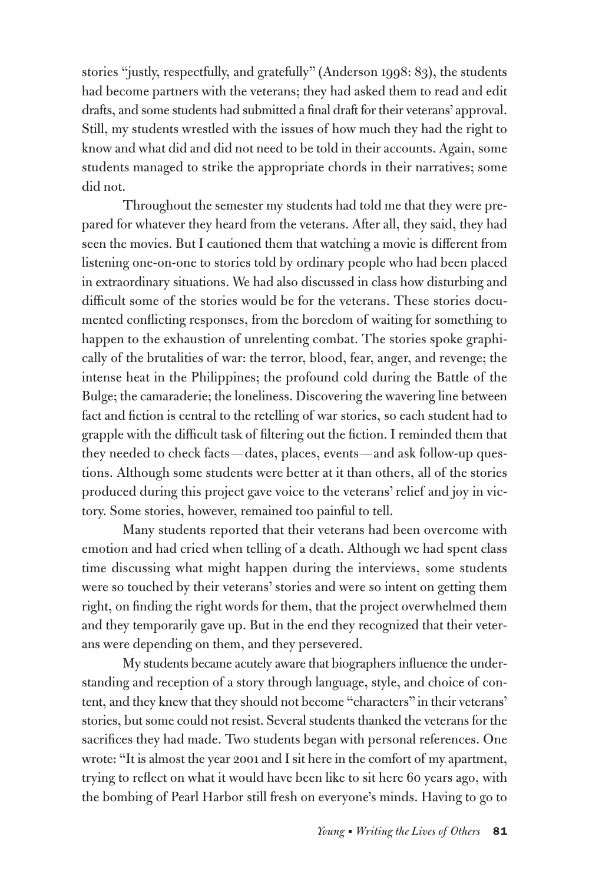stories "justly, respectfully, and gratefully" (Anderson 1998: 83), the students had become partners with the veterans; they had asked them to read and edit drafts, and some students had submitted a final draft for their veterans'approval. Still, my students wrestled with the issues of how much they had the right to know and what did and did not need to be told in their accounts. Again, some students managed to strike the appropriate chords in their narratives; some did not.

Throughout the semester my students had told me that they were prepared for whatever they heard from the veterans. After all, they said, they had seen the movies. But I cautioned them that watching a movie is different from listening one-on-one to stories told by ordinary people who had been placed in extraordinary situations. We had also discussed in class how disturbing and difficult some of the stories would be for the veterans. These stories documented conflicting responses, from the boredom of waiting for something to happen to the exhaustion of unrelenting combat. The stories spoke graphically of the brutalities of war: the terror, blood, fear, anger, and revenge; the intense heat in the Philippines; the profound cold during the Battle of the Bulge; the camaraderie; the loneliness. Discovering the wavering line between fact and fiction is central to the retelling of war stories, so each student had to grapple with the difficult task of filtering out the fiction. I reminded them that they needed to check facts — dates, places, events — and ask follow-up questions. Although some students were better at it than others, all of the stories produced during this project gave voice to the veterans' relief and joy in victory. Some stories, however, remained too painful to tell.

Many students reported that their veterans had been overcome with emotion and had cried when telling of a death. Although we had spent class time discussing what might happen during the interviews, some students were so touched by their veterans' stories and were so intent on getting them right, on finding the right words for them, that the project overwhelmed them and they temporarily gave up. But in the end they recognized that their veterans were depending on them, and they persevered.

My students became acutely aware that biographers influence the understanding and reception of a story through language, style, and choice of content, and they knew that they should not become "characters" in their veterans' stories, but some could not resist. Several students thanked the veterans for the sacrifices they had made. Two students began with personal references. One wrote: "It is almost the year 2001 and I sit here in the comfort of my apartment, trying to reflect on what it would have been like to sit here 60 years ago, with the bombing of Pearl Harbor still fresh on everyone's minds. Having to go to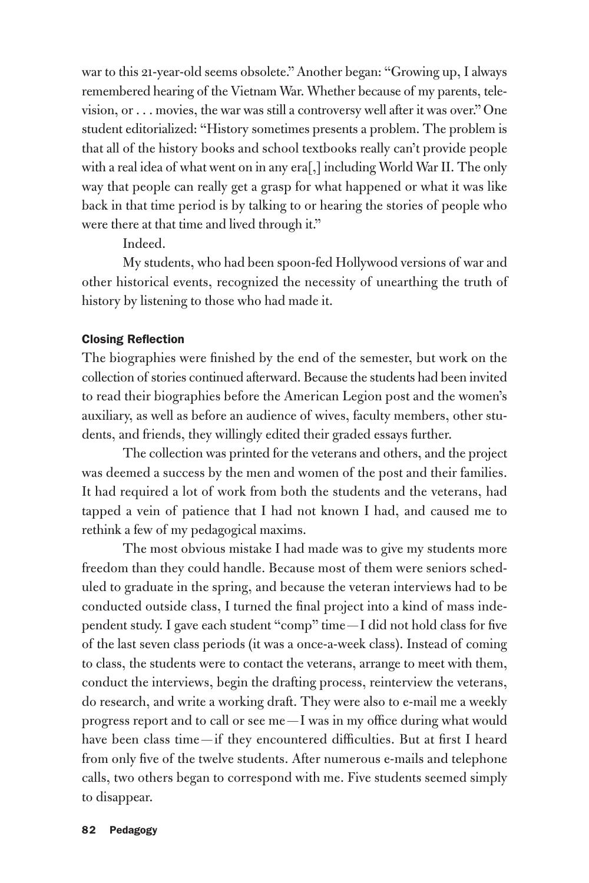war to this 21-year-old seems obsolete." Another began: "Growing up, I always remembered hearing of the Vietnam War. Whether because of my parents, television, or . . . movies, the war was still a controversy well after it was over." One student editorialized: "History sometimes presents a problem. The problem is that all of the history books and school textbooks really can't provide people with a real idea of what went on in any era[,] including World War II. The only way that people can really get a grasp for what happened or what it was like back in that time period is by talking to or hearing the stories of people who were there at that time and lived through it."

Indeed.

My students, who had been spoon-fed Hollywood versions of war and other historical events, recognized the necessity of unearthing the truth of history by listening to those who had made it.

#### Closing Reflection

The biographies were finished by the end of the semester, but work on the collection of stories continued afterward. Because the students had been invited to read their biographies before the American Legion post and the women's auxiliary, as well as before an audience of wives, faculty members, other students, and friends, they willingly edited their graded essays further.

The collection was printed for the veterans and others, and the project was deemed a success by the men and women of the post and their families. It had required a lot of work from both the students and the veterans, had tapped a vein of patience that I had not known I had, and caused me to rethink a few of my pedagogical maxims.

The most obvious mistake I had made was to give my students more freedom than they could handle. Because most of them were seniors scheduled to graduate in the spring, and because the veteran interviews had to be conducted outside class, I turned the final project into a kind of mass independent study. I gave each student "comp" time—I did not hold class for five of the last seven class periods (it was a once-a-week class). Instead of coming to class, the students were to contact the veterans, arrange to meet with them, conduct the interviews, begin the drafting process, reinterview the veterans, do research, and write a working draft. They were also to e-mail me a weekly progress report and to call or see me —I was in my office during what would have been class time-if they encountered difficulties. But at first I heard from only five of the twelve students. After numerous e-mails and telephone calls, two others began to correspond with me. Five students seemed simply to disappear.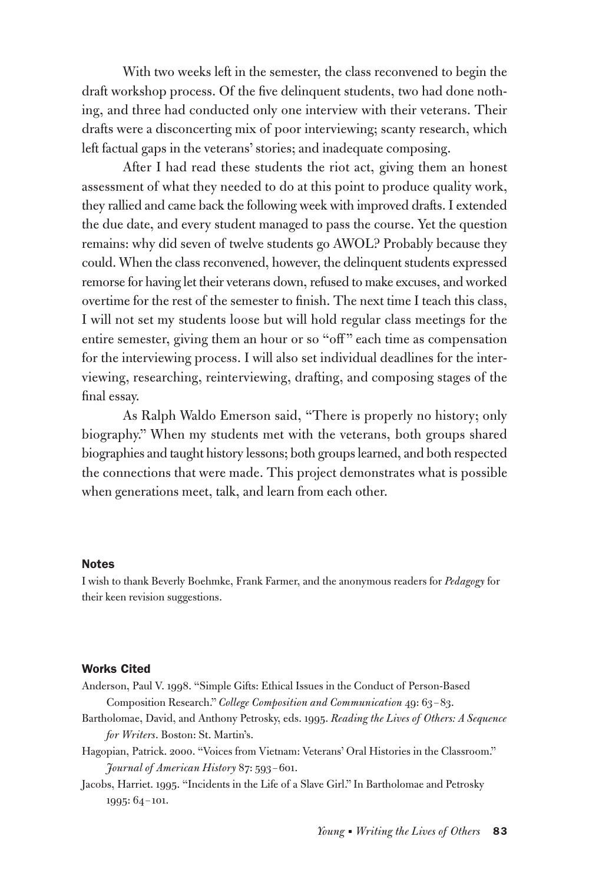With two weeks left in the semester, the class reconvened to begin the draft workshop process. Of the five delinquent students, two had done nothing, and three had conducted only one interview with their veterans. Their drafts were a disconcerting mix of poor interviewing; scanty research, which left factual gaps in the veterans' stories; and inadequate composing.

After I had read these students the riot act, giving them an honest assessment of what they needed to do at this point to produce quality work, they rallied and came back the following week with improved drafts. I extended the due date, and every student managed to pass the course. Yet the question remains: why did seven of twelve students go AWOL? Probably because they could. When the class reconvened, however, the delinquent students expressed remorse for having let their veterans down, refused to make excuses, and worked overtime for the rest of the semester to finish. The next time I teach this class, I will not set my students loose but will hold regular class meetings for the entire semester, giving them an hour or so "off" each time as compensation for the interviewing process. I will also set individual deadlines for the interviewing, researching, reinterviewing, drafting, and composing stages of the final essay.

As Ralph Waldo Emerson said, "There is properly no history; only biography." When my students met with the veterans, both groups shared biographies and taught history lessons; both groups learned, and both respected the connections that were made. This project demonstrates what is possible when generations meet, talk, and learn from each other.

#### **Notes**

I wish to thank Beverly Boehmke, Frank Farmer, and the anonymous readers for *Pedagogy* for their keen revision suggestions.

#### Works Cited

- Anderson, Paul V. 1998. "Simple Gifts: Ethical Issues in the Conduct of Person-Based Composition Research." *College Composition and Communication* 49: 63–83.
- Bartholomae, David, and Anthony Petrosky, eds. 1995. *Reading the Lives of Others: A Sequence for Writers*. Boston: St. Martin's.
- Hagopian, Patrick. 2000. "Voices from Vietnam: Veterans' Oral Histories in the Classroom." *Journal of American History* 87: 593–601.
- Jacobs, Harriet. 1995. "Incidents in the Life of a Slave Girl." In Bartholomae and Petrosky 1995: 64–101.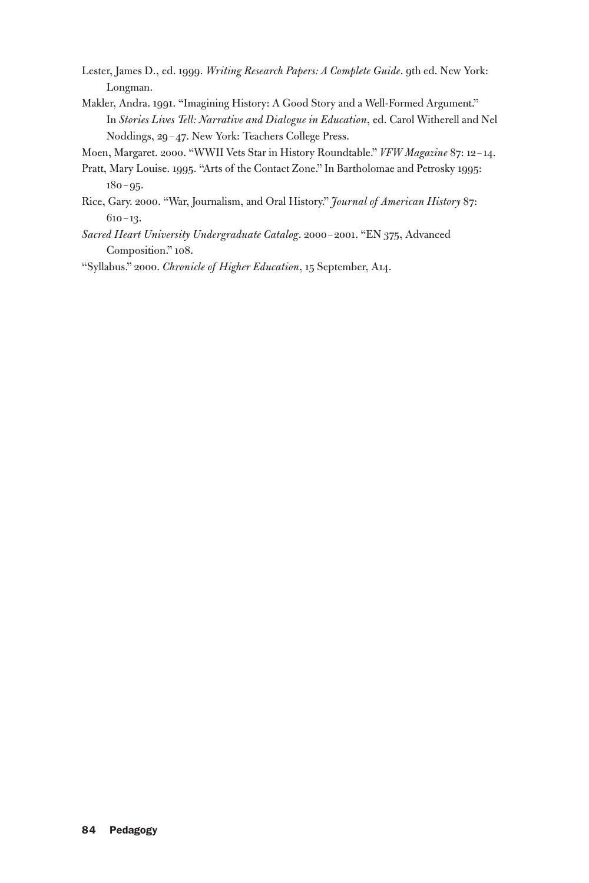- Lester, James D., ed. 1999. *Writing Research Papers: A Complete Guide*. 9th ed. New York: Longman.
- Makler, Andra. 1991. "Imagining History: A Good Story and a Well-Formed Argument." In *Stories Lives Tell: Narrative and Dialogue in Education*, ed. Carol Witherell and Nel Noddings, 29–47. New York: Teachers College Press.
- Moen, Margaret. 2000. "WWII Vets Star in History Roundtable." *VFW Magazine* 87: 12–14.
- Pratt, Mary Louise. 1995. "Arts of the Contact Zone." In Bartholomae and Petrosky 1995: 180–95.
- Rice, Gary. 2000. "War, Journalism, and Oral History." *Journal of American History* 87: 610–13.
- *Sacred Heart University Undergraduate Catalog*. 2000–2001. "EN 375, Advanced Composition." 108.

"Syllabus." 2000. *Chronicle of Higher Education*, 15 September, A14.